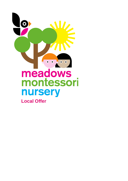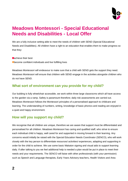

# **Meadows Montessori - Special Educational Needs and Disabilities - Local Offer**

We are a fully inclusive setting able to meet the needs of children with SEND (Special Educational Needs and Disabilities). All children have a right to an education that enables them to make progress so that they:

**Cachieve their best Obecome confident individuals and live fulfilling lives** 

Meadows Montessori will endeavour to make sure that a child with SEND gets the support they need. Meadows Montessori will ensure that children with SEND engage in the activities alongside children who do not have SEND.

# **What sort of environment can you provide for my child?**

Our building is fully wheelchair accessible, we work within three large classrooms which all have access to the garden via a ramp. Safety is paramount therefore; daily risk assessments are carried out. Meadows Montessori follows the Montessori principles of a personalised approach to childcare and learning. The understanding of numbers, writing, knowledge of basic phonics and reading are enjoyed in a quiet and happy environment.

# **How will you support my child?**

We recognise that all children are unique, therefore we are aware that support must be differentiated and personalised for all children. Meadows Montessori has caring and qualified staff, who strive to ensure each individual child is happy, well cared for and supported in moving forward in their learning. Any concerns would initially be raised with the Special Education Needs Coordinator (SENCO), who will work closely with the key person to differentiate resources/ activities/ experiences, adapting and supporting in order for the child to achieve. We use some basic Makaton signing and visual aids to support learning daily. If after talking to you we feel additional help is needed a plan would be put in place to meet their needs and your requirements. The SENCO will liaise with other professionals (with your permission) such as Speech and Language therapists, Early Years Advisory teachers, Health Visitors and Area